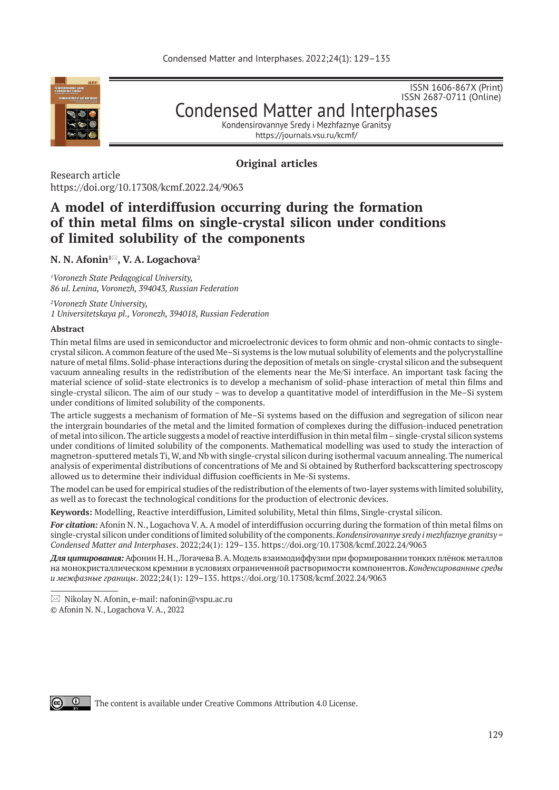

ISSN 2687-0711 (Online) Condensed Matter and Interphases

ISSN 1606-867Х (Print)

Kondensirovannye Sredy i Mezhfaznye Granitsy https://journals.vsu.ru/kcmf/

**Original articles**

Research article https://doi.org/10.17308/kcmf.2022.24/9063

# **A model of interdiffusion occurring during the formation of thin metal films on single-crystal silicon under conditions of limited solubility of the components**

# **N. N. Afonin1, V. A. Logachova<sup>2</sup> \***

*1 Voronezh State Pedagogical University, 86 ul. Lenina, Voronezh, 394043, Russian Federation*

*2 Voronezh State University, 1 Universitetskaya pl., Voronezh, 394018, Russian Federation*

#### **Abstract**

Thin metal films are used in semiconductor and microelectronic devices to form ohmic and non-ohmic contacts to singlecrystal silicon. A common feature of the used Ме–Si systems is the low mutual solubility of elements and the polycrystalline nature of metal films. Solid-phase interactions during the deposition of metals on single-crystal silicon and the subsequent vacuum annealing results in the redistribution of the elements near the Me/Si interface. An important task facing the material science of solid-state electronics is to develop a mechanism of solid-phase interaction of metal thin films and single-crystal silicon. The aim of our study – was to develop a quantitative model of interdiffusion in the Ме–Si system under conditions of limited solubility of the components.

The article suggests a mechanism of formation of Me–Si systems based on the diffusion and segregation of silicon near the intergrain boundaries of the metal and the limited formation of complexes during the diffusion-induced penetration of metal into silicon. The article suggests a model of reactive interdiffusion in thin metal film – single-crystal silicon systems under conditions of limited solubility of the components. Mathematical modelling was used to study the interaction of magnetron-sputtered metals Ti, W, and Nb with single-crystal silicon during isothermal vacuum annealing. The numerical analysis of experimental distributions of concentrations of Me and Si obtained by Rutherford backscattering spectroscopy allowed us to determine their individual diffusion coefficients in Me-Si systems.

The model can be used for empirical studies of the redistribution of the elements of two-layer systems with limited solubility, as well as to forecast the technological conditions for the production of electronic devices.

**Keywords:** Modelling, Reactive interdiffusion, Limited solubility, Metal thin films, Single-crystal silicon.

*For citation:* Afonin N. N., Logachova V. A. A model of interdiffusion occurring during the formation of thin metal films on single-crystal silicon under conditions of limited solubility of the components. *Kondensirovannye sredy i mezhfaznye granitsy = Condensed Matter and Interphases*. 2022;24(1): 129–135. https://doi.org/10.17308/kcmf.2022.24/9063

*Для цитирования:* Афонин Н. Н., Логачева В. А. Модель взаимодиффузии при формировании тонких плёнок металлов на монокристаллическом кремнии в условиях ограниченной растворимости компонентов. *Конденсированные среды и межфазные границы*. 2022;24(1): 129–135. https://doi.org/10.17308/kcmf.2022.24/9063



The content is available under Creative Commons Attribution 4.0 License.

 $\boxtimes$  Nikolay N. Afonin, e-mail: nafonin@vspu.ac.ru

<sup>©</sup> Afonin N. N., Logachova V. A., 2022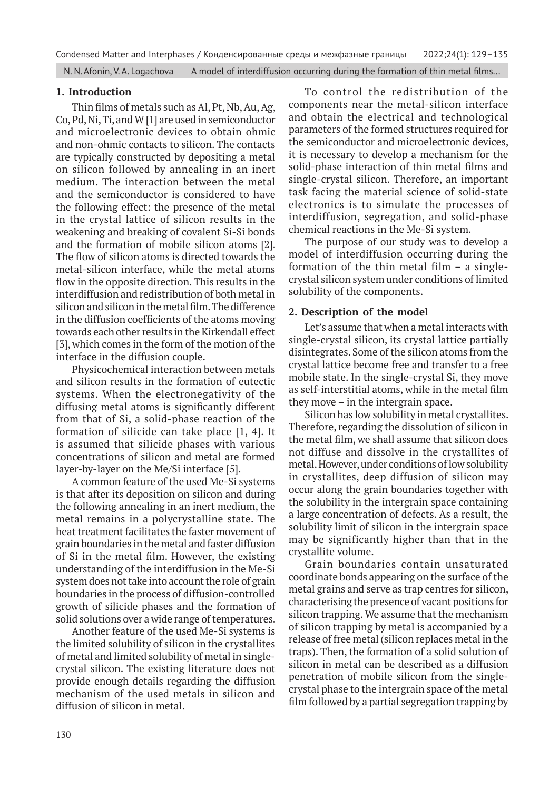N. N. Afonin, V. A. Logachova A model of interdiffusion occurring during the formation of thin metal films...

### **1. Introduction**

Thin films of metals such as Al, Pt, Nb, Au, Ag, Co, Pd, Ni, Ti, and W [1] are used in semiconductor and microelectronic devices to obtain ohmic and non-ohmic contacts to silicon. The contacts are typically constructed by depositing a metal on silicon followed by annealing in an inert medium. The interaction between the metal and the semiconductor is considered to have the following effect: the presence of the metal in the crystal lattice of silicon results in the weakening and breaking of covalent Si-Si bonds and the formation of mobile silicon atoms [2]. The flow of silicon atoms is directed towards the metal-silicon interface, while the metal atoms flow in the opposite direction. This results in the interdiffusion and redistribution of both metal in silicon and silicon in the metal film. The difference in the diffusion coefficients of the atoms moving towards each other results in the Kirkendall effect [3], which comes in the form of the motion of the interface in the diffusion couple.

Physicochemical interaction between metals and silicon results in the formation of eutectic systems. When the electronegativity of the diffusing metal atoms is significantly different from that of Si, a solid-phase reaction of the formation of silicide can take place [1, 4]. It is assumed that silicide phases with various concentrations of silicon and metal are formed layer-by-layer on the Me/Si interface [5].

A common feature of the used Me-Si systems is that after its deposition on silicon and during the following annealing in an inert medium, the metal remains in a polycrystalline state. The heat treatment facilitates the faster movement of grain boundaries in the metal and faster diffusion of Si in the metal film. However, the existing understanding of the interdiffusion in the Me-Si system does not take into account the role of grain boundaries in the process of diffusion-controlled growth of silicide phases and the formation of solid solutions over a wide range of temperatures.

Another feature of the used Me-Si systems is the limited solubility of silicon in the crystallites of metal and limited solubility of metal in singlecrystal silicon. The existing literature does not provide enough details regarding the diffusion mechanism of the used metals in silicon and diffusion of silicon in metal.

To control the redistribution of the components near the metal-silicon interface and obtain the electrical and technological parameters of the formed structures required for the semiconductor and microelectronic devices, it is necessary to develop a mechanism for the solid-phase interaction of thin metal films and single-crystal silicon. Therefore, an important task facing the material science of solid-state electronics is to simulate the processes of interdiffusion, segregation, and solid-phase chemical reactions in the Me-Si system.

The purpose of our study was to develop a model of interdiffusion occurring during the formation of the thin metal film – a singlecrystal silicon system under conditions of limited solubility of the components.

## **2. Description of the model**

Let's assume that when a metal interacts with single-crystal silicon, its crystal lattice partially disintegrates. Some of the silicon atoms from the crystal lattice become free and transfer to a free mobile state. In the single-crystal Si, they move as self-interstitial atoms, while in the metal film they move – in the intergrain space.

Silicon has low solubility in metal crystallites. Therefore, regarding the dissolution of silicon in the metal film, we shall assume that silicon does not diffuse and dissolve in the crystallites of metal. However, under conditions of low solubility in crystallites, deep diffusion of silicon may occur along the grain boundaries together with the solubility in the intergrain space containing a large concentration of defects. As a result, the solubility limit of silicon in the intergrain space may be significantly higher than that in the crystallite volume.

Grain boundaries contain unsaturated coordinate bonds appearing on the surface of the metal grains and serve as trap centres for silicon, characterising the presence of vacant positions for silicon trapping. We assume that the mechanism of silicon trapping by metal is accompanied by a release of free metal (silicon replaces metal in the traps). Then, the formation of a solid solution of silicon in metal can be described as a diffusion penetration of mobile silicon from the singlecrystal phase to the intergrain space of the metal film followed by a partial segregation trapping by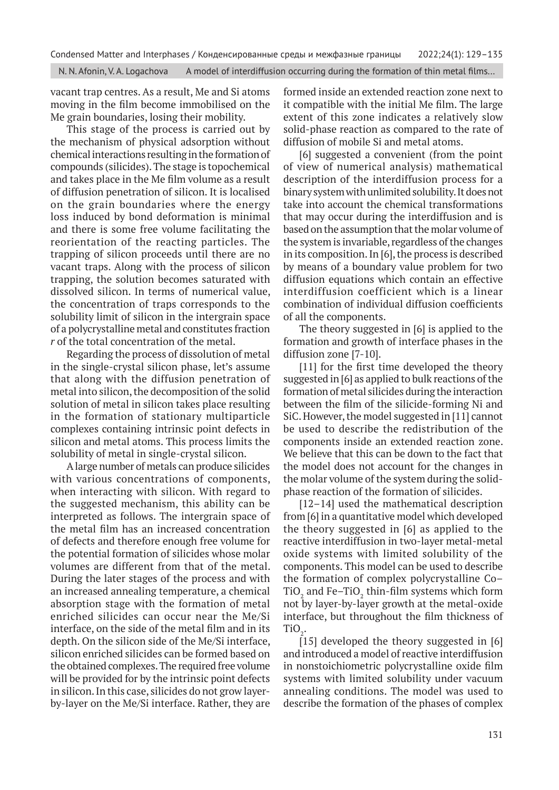N. N. Afonin, V. A. Logachova A model of interdiffusion occurring during the formation of thin metal films...

vacant trap centres. As a result, Me and Si atoms moving in the film become immobilised on the Me grain boundaries, losing their mobility.

This stage of the process is carried out by the mechanism of physical adsorption without chemical interactions resulting in the formation of compounds (silicides). The stage is topochemical and takes place in the Me film volume as a result of diffusion penetration of silicon. It is localised on the grain boundaries where the energy loss induced by bond deformation is minimal and there is some free volume facilitating the reorientation of the reacting particles. The trapping of silicon proceeds until there are no vacant traps. Along with the process of silicon trapping, the solution becomes saturated with dissolved silicon. In terms of numerical value, the concentration of traps corresponds to the solubility limit of silicon in the intergrain space of a polycrystalline metal and constitutes fraction *r* of the total concentration of the metal.

Regarding the process of dissolution of metal in the single-crystal silicon phase, let's assume that along with the diffusion penetration of metal into silicon, the decomposition of the solid solution of metal in silicon takes place resulting in the formation of stationary multiparticle complexes containing intrinsic point defects in silicon and metal atoms. This process limits the solubility of metal in single-crystal silicon.

A large number of metals can produce silicides with various concentrations of components, when interacting with silicon. With regard to the suggested mechanism, this ability can be interpreted as follows. The intergrain space of the metal film has an increased concentration of defects and therefore enough free volume for the potential formation of silicides whose molar volumes are different from that of the metal. During the later stages of the process and with an increased annealing temperature, a chemical absorption stage with the formation of metal enriched silicides can occur near the Ме/Si interface, on the side of the metal film and in its depth. On the silicon side of the Ме/Si interface, silicon enriched silicides can be formed based on the obtained complexes. The required free volume will be provided for by the intrinsic point defects in silicon. In this case, silicides do not grow layerby-layer on the Ме/Si interface. Rather, they are

formed inside an extended reaction zone next to it compatible with the initial Me film. The large extent of this zone indicates a relatively slow solid-phase reaction as compared to the rate of diffusion of mobile Si and metal atoms.

[6] suggested a convenient (from the point of view of numerical analysis) mathematical description of the interdiffusion process for a binary system with unlimited solubility. It does not take into account the chemical transformations that may occur during the interdiffusion and is based on the assumption that the molar volume of the system is invariable, regardless of the changes in its composition. In [6], the process is described by means of a boundary value problem for two diffusion equations which contain an effective interdiffusion coefficient which is a linear combination of individual diffusion coefficients of all the components.

The theory suggested in [6] is applied to the formation and growth of interface phases in the diffusion zone [7-10].

[11] for the first time developed the theory suggested in [6] as applied to bulk reactions of the formation of metal silicides during the interaction between the film of the silicide-forming Ni and SiC. However, the model suggested in [11] cannot be used to describe the redistribution of the components inside an extended reaction zone. We believe that this can be down to the fact that the model does not account for the changes in the molar volume of the system during the solidphase reaction of the formation of silicides.

[12–14] used the mathematical description from [6] in a quantitative model which developed the theory suggested in [6] as applied to the reactive interdiffusion in two-layer metal-metal oxide systems with limited solubility of the components. This model can be used to describe the formation of complex polycrystalline Co– TiO $_{\textrm{\tiny{2}}}$  and Fe–TiO $_{\textrm{\tiny{2}}}$  thin-film systems which form not by layer-by-layer growth at the metal-oxide interface, but throughout the film thickness of  $TiO<sub>2</sub>$ .

 $[15]$  developed the theory suggested in  $[6]$ and introduced a model of reactive interdiffusion in nonstoichiometric polycrystalline oxide film systems with limited solubility under vacuum annealing conditions. The model was used to describe the formation of the phases of complex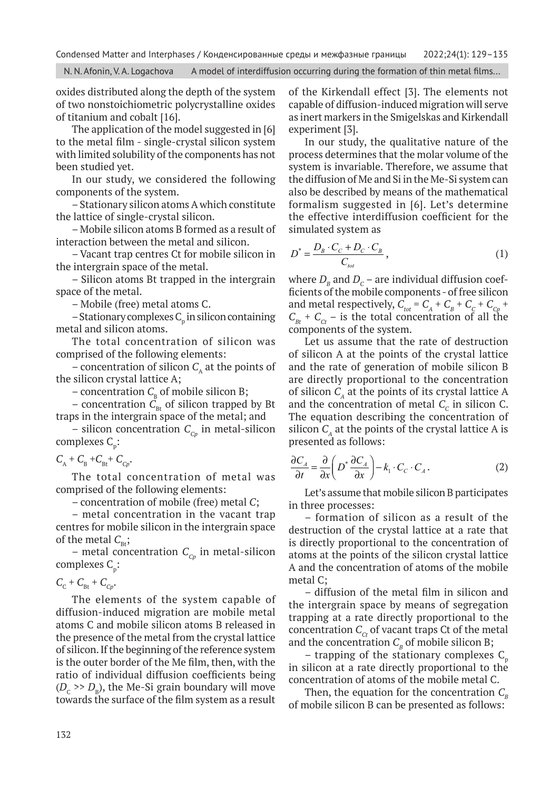N. N. Afonin, V. A. Logachova A model of interdiffusion occurring during the formation of thin metal films...

oxides distributed along the depth of the system of two nonstoichiometric polycrystalline oxides of titanium and cobalt [16].

The application of the model suggested in [6] to the metal film - single-crystal silicon system with limited solubility of the components has not been studied yet.

In our study, we considered the following components of the system.

– Stationary silicon atoms A which constitute the lattice of single-crystal silicon.

– Mobile silicon atoms B formed as a result of interaction between the metal and silicon.

– Vacant trap centres Ct for mobile silicon in the intergrain space of the metal.

– Silicon atoms Bt trapped in the intergrain space of the metal.

– Mobile (free) metal atoms C.

 $-$  Stationary complexes  $C_p$  in silicon containing metal and silicon atoms.

The total concentration of silicon was comprised of the following elements:

– concentration of silicon  $C_{\lambda}$  at the points of the silicon crystal lattice A;

– concentration  $C_B$  of mobile silicon B;

– concentration  $\tilde{C}_{\text{B}t}$  of silicon trapped by Bt traps in the intergrain space of the metal; and

– silicon concentration  $C_{c_p}$  in metal-silicon complexes  $C_p$ :

 $C_{\rm A}$  +  $C_{\rm B}$  +  $C_{\rm B}$  +  $C_{\rm C}$ .

The total concentration of metal was comprised of the following elements:

– concentration of mobile (free) metal *C*;

– metal concentration in the vacant trap centres for mobile silicon in the intergrain space of the metal  $C_{\text{Bt}}$ ;

– metal concentration  $C_{C_p}$  in metal-silicon complexes  $C_p$ :

 $C_{\rm C}$  +  $C_{\rm Bt}$  +  $C_{\rm Cp}$ .

The elements of the system capable of diffusion-induced migration are mobile metal atoms C and mobile silicon atoms B released in the presence of the metal from the crystal lattice of silicon. If the beginning of the reference system is the outer border of the Me film, then, with the ratio of individual diffusion coefficients being  $(D_c \gg D_B)$ , the Me-Si grain boundary will move towards the surface of the film system as a result of the Kirkendall effect [3]. The elements not capable of diffusion-induced migration will serve as inert markers in the Smigelskas and Kirkendall experiment [3].

In our study, the qualitative nature of the process determines that the molar volume of the system is invariable. Therefore, we assume that the diffusion of Me and Si in the Me-Si system can also be described by means of the mathematical formalism suggested in [6]. Let's determine the effective interdiffusion coefficient for the simulated system as

$$
D^* = \frac{D_B \cdot C_C + D_C \cdot C_B}{C_{tot}},\tag{1}
$$

where  $D_{\rm g}$  and  $D_{\rm c}$  – are individual diffusion coefficients of the mobile components - of free silicon and metal respectively,  $C_{tot} = C_A + C_B + C_C + C_{Cp}$  $C_{Bt}$  +  $C_{Ct}$  – is the total concentration of all the components of the system.

Let us assume that the rate of destruction of silicon A at the points of the crystal lattice and the rate of generation of mobile silicon B are directly proportional to the concentration of silicon  $C_{\scriptscriptstyle{A}}$  at the points of its crystal lattice A and the concentration of metal  $C_c$  in silicon C. The equation describing the concentration of silicon  $C_{\text{A}}$  at the points of the crystal lattice A is presented as follows:

$$
\frac{\partial C_A}{\partial t} = \frac{\partial}{\partial x} \left( D^* \frac{\partial C_A}{\partial x} \right) - k_1 \cdot C_C \cdot C_A \,. \tag{2}
$$

Let's assume that mobile silicon B participates in three processes:

– formation of silicon as a result of the destruction of the crystal lattice at a rate that is directly proportional to the concentration of atoms at the points of the silicon crystal lattice A and the concentration of atoms of the mobile metal C;

– diffusion of the metal film in silicon and the intergrain space by means of segregation trapping at a rate directly proportional to the concentration  $C_c$  of vacant traps Ct of the metal and the concentration  $C<sub>B</sub>$  of mobile silicon B;

– trapping of the stationary complexes  $C_p$ in silicon at a rate directly proportional to the concentration of atoms of the mobile metal C.

Then, the equation for the concentration  $C_{\beta}$ of mobile silicon B can be presented as follows: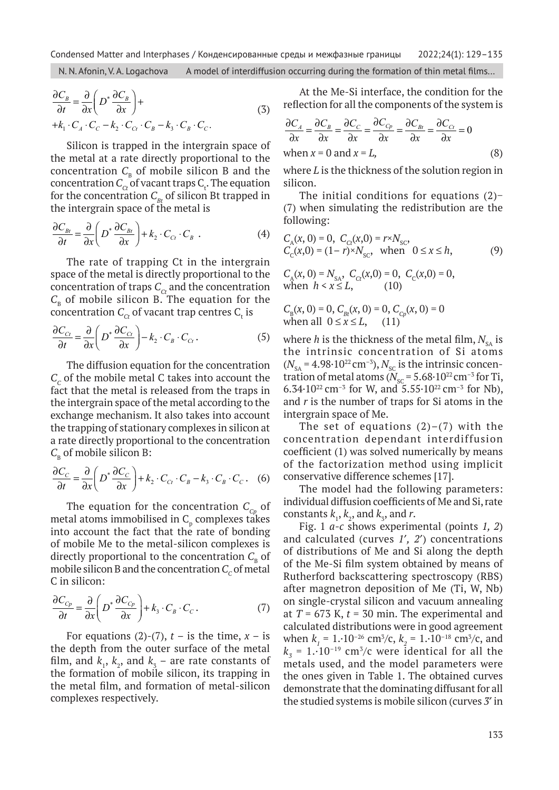N. N. Afonin, V. A. Logachova A model of interdiffusion occurring during the formation of thin metal films...

$$
\frac{\partial C_B}{\partial t} = \frac{\partial}{\partial x} \left( D^* \frac{\partial C_B}{\partial x} \right) +
$$
  
+  $k_1 \cdot C_A \cdot C_C - k_2 \cdot C_{Ct} \cdot C_B - k_3 \cdot C_B \cdot C_C.$  (3)

Silicon is trapped in the intergrain space of the metal at a rate directly proportional to the concentration  $C_{\text{B}}$  of mobile silicon B and the concentration  $C_{\text{ct}}$  of vacant traps  $C_{\text{t}}$ . The equation for the concentration  $C_{Bt}$  of silicon Bt trapped in the intergrain space of the metal is

$$
\frac{\partial C_{Bt}}{\partial t} = \frac{\partial}{\partial x} \left( D^* \frac{\partial C_{Bt}}{\partial x} \right) + k_2 \cdot C_{Ct} \cdot C_B \tag{4}
$$

The rate of trapping Ct in the intergrain space of the metal is directly proportional to the concentration of traps  $C_{ct}$  and the concentration  $C_{\text{B}}$  of mobile silicon B. The equation for the concentration  $\mathcal{C}_{c t}$  of vacant trap centres  $\mathcal{C}_{\mathrm{t}}$  is

$$
\frac{\partial C_{C_t}}{\partial t} = \frac{\partial}{\partial x} \left( D^* \frac{\partial C_{C_t}}{\partial x} \right) - k_2 \cdot C_B \cdot C_{C_t} . \tag{5}
$$

The diffusion equation for the concentration  $C_c$  of the mobile metal C takes into account the fact that the metal is released from the traps in the intergrain space of the metal according to the exchange mechanism. It also takes into account the trapping of stationary complexes in silicon at a rate directly proportional to the concentration  $C_{\rm B}$  of mobile silicon B:

$$
\frac{\partial C_C}{\partial t} = \frac{\partial}{\partial x} \left( D^* \frac{\partial C_C}{\partial x} \right) + k_2 \cdot C_{Ct} \cdot C_B - k_3 \cdot C_B \cdot C_C. \quad (6)
$$

The equation for the concentration  $C_{C_p}$  of metal atoms immobilised in  $C_{p}$  complexes takes into account the fact that the rate of bonding of mobile Me to the metal-silicon complexes is directly proportional to the concentration  $C_{\text{B}}$  of mobile silicon B and the concentration  $C_c$  of metal C in silicon:

$$
\frac{\partial C_{C_p}}{\partial t} = \frac{\partial}{\partial x} \left( D^* \frac{\partial C_{C_p}}{\partial x} \right) + k_3 \cdot C_B \cdot C_C. \tag{7}
$$

For equations (2)-(7),  $t -$  is the time,  $x -$  is the depth from the outer surface of the metal film, and  $k_1$ ,  $k_2$ , and  $k_3$  – are rate constants of the formation of mobile silicon, its trapping in the metal film, and formation of metal-silicon complexes respectively.

At the Me-Si interface, the condition for the reflection for all the components of the system is

$$
\frac{\partial C_A}{\partial x} = \frac{\partial C_B}{\partial x} = \frac{\partial C_C}{\partial x} = \frac{\partial C_{C_P}}{\partial x} = \frac{\partial C_{Bt}}{\partial x} = \frac{\partial C_{Ct}}{\partial x} = 0
$$
  
when  $x = 0$  and  $x = L$ , (8)

where *L* is the thickness of the solution region in silicon.

The initial conditions for equations (2)− (7) when simulating the redistribution are the following:

$$
C_A(x, 0) = 0, C_{Ct}(x, 0) = r \times N_{SC},
$$
  
\n
$$
C_C(x, 0) = (1 - r) \times N_{SC}, \text{ when } 0 \le x \le h,
$$
  
\n
$$
C(x, 0) = N, C(x, 0) = 0, C(x, 0) = 0
$$
 (9)

 $C_A(x, 0) = N_{SA}$ ,  $C_{Ct}(x, 0) = 0$ ,  $C_C(x, 0) = 0$ , when  $h < x \leq L$ , (10)

$$
C_{B}(x, 0) = 0, C_{Bt}(x, 0) = 0, C_{Cp}(x, 0) = 0
$$
  
when all  $0 \le x \le L$ , (11)

where *h* is the thickness of the metal film,  $N_{s_A}$  is the intrinsic concentration of Si atoms  $(N<sub>sA</sub> = 4.98 \cdot 10^{22} \text{ cm}^{-3}), N<sub>sc</sub>$  is the intrinsic concentration of metal atoms ( $N_{\rm sc}$  = 5.68 $\cdot$ 10<sup>22</sup> cm<sup>-3</sup> for Ti, 6.34 $\cdot$ 10<sup>22</sup> cm<sup>-3</sup> for W, and 5.55 $\cdot$ 10<sup>22</sup> cm<sup>-3</sup> for Nb), and *r* is the number of traps for Si atoms in the intergrain space of Me.

The set of equations  $(2)-(7)$  with the concentration dependant interdiffusion coefficient (1) was solved numerically by means of the factorization method using implicit conservative difference schemes [17].

The model had the following parameters: individual diffusion coefficients of Me and Si, rate constants  $k_1$ ,  $k_2$ , and  $k_3$ , and  $r$ .

Fig. 1 *а-c* shows experimental (points *1, 2*) and calculated (curves *1*¢*, 2*¢) concentrations of distributions of Me and Si along the depth of the Me-Si film system obtained by means of Rutherford backscattering spectroscopy (RBS) after magnetron deposition of Me (Ti, W, Nb) on single-crystal silicon and vacuum annealing at  $T = 673$  K,  $t = 30$  min. The experimental and calculated distributions were in good agreement when  $k_1 = 1.10^{-26}$  cm<sup>3</sup>/c,  $k_2 = 1.10^{-18}$  cm<sup>3</sup>/c, and  $k_{\rm z}$  = 1.·10<sup>-19</sup> cm<sup>3</sup>/c were identical for all the metals used, and the model parameters were the ones given in Table 1. The obtained curves demonstrate that the dominating diffusant for all the studied systems is mobile silicon (curves *3*¢ in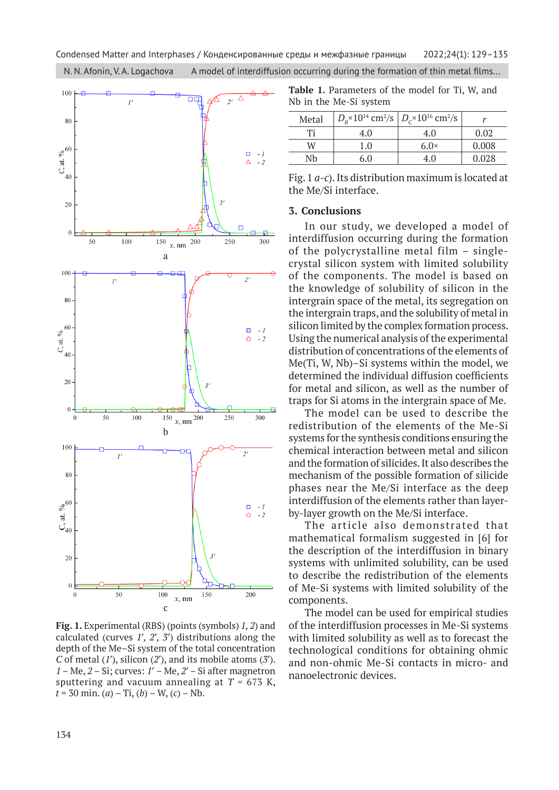N. N. Afonin, V. A. Logachova A model of interdiffusion occurring during the formation of thin metal films...



**Fig. 1.** Experimental (RBS) (points (symbols) *1, 2*) and calculated (curves *1*¢*, 2*¢*, 3*¢) distributions along the depth of the Me–Si system of the total concentration *C* of metal (*1*¢), silicon (*2*¢), and its mobile atoms (*3*¢). *1* – Me, *2* – Si; curves: *1*¢ – Me, *2*¢ – Si after magnetron sputtering and vacuum annealing at  $T = 673$  K,  $t = 30$  min. (*a*) – Ti, (*b*) – W, (*c*) – Nb.

**Table 1.** Parameters of the model for Ti, W, and Nb in the Me-Si system

| Metal | $D_{\rm B}$ × 10 <sup>14</sup> cm <sup>2</sup> /s $D_{\rm C}$ × 10 <sup>16</sup> cm <sup>2</sup> /s |             |       |
|-------|-----------------------------------------------------------------------------------------------------|-------------|-------|
| Тi    | 4.0                                                                                                 | 4.0         | 0.02  |
| W     | 1.0                                                                                                 | $6.0\times$ | 0.008 |
| Nh    | 60                                                                                                  | 40          | 0.028 |

Fig. 1 *а-c*). Its distribution maximum is located at the Me/Si interface.

#### **3. Conclusions**

In our study, we developed a model of interdiffusion occurring during the formation of the polycrystalline metal film – singlecrystal silicon system with limited solubility of the components. The model is based on the knowledge of solubility of silicon in the intergrain space of the metal, its segregation on the intergrain traps, and the solubility of metal in silicon limited by the complex formation process. Using the numerical analysis of the experimental distribution of concentrations of the elements of Me(Ti, W, Nb)–Si systems within the model, we determined the individual diffusion coefficients for metal and silicon, as well as the number of traps for Si atoms in the intergrain space of Me.

The model can be used to describe the redistribution of the elements of the Me-Si systems for the synthesis conditions ensuring the chemical interaction between metal and silicon and the formation of silicides. It also describes the mechanism of the possible formation of silicide phases near the Me/Si interface as the deep interdiffusion of the elements rather than layerby-layer growth on the Me/Si interface.

The article also demonstrated that mathematical formalism suggested in [6] for the description of the interdiffusion in binary systems with unlimited solubility, can be used to describe the redistribution of the elements of Me-Si systems with limited solubility of the components.

The model can be used for empirical studies of the interdiffusion processes in Me-Si systems with limited solubility as well as to forecast the technological conditions for obtaining ohmic and non-ohmic Ме-Si contacts in micro- and nanoelectronic devices.